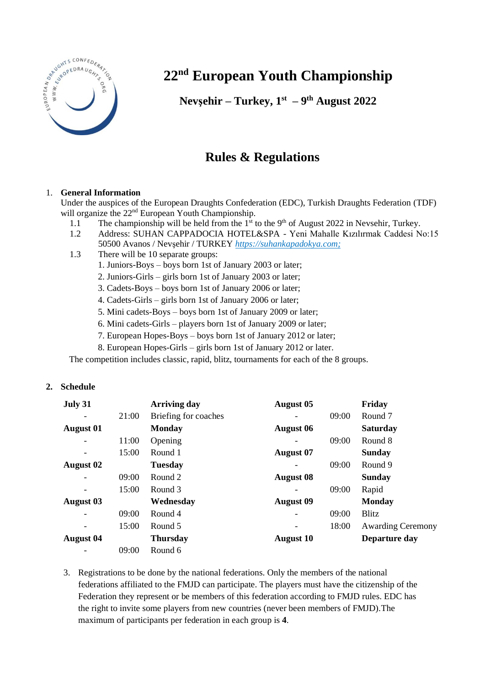

## **22nd European Youth Championship**

**Nevşehir – Turkey, 1 st – 9 th August 2022**

## **Rules & Regulations**

## 1. **General Information**

Under the auspices of the European Draughts Confederation (EDC), Turkish Draughts Federation (TDF) will organize the 22<sup>nd</sup> European Youth Championship.

- 1.1 The championship will be held from the 1<sup>st</sup> to the 9<sup>th</sup> of August 2022 in Nevsehir, Turkey.
- 1.2 Address: SUHAN CAPPADOCIA HOTEL&SPA Yeni Mahalle Kızılırmak Caddesi No:15 50500 Avanos / Nevşehir / TURKEY *[https://suhankapadokya.com;](https://suhankapadokya.com/)*
- 1.3 There will be 10 separate groups:
	- 1. Juniors-Boys boys born 1st of January 2003 or later;
	- 2. Juniors-Girls girls born 1st of January 2003 or later;
	- 3. Cadets-Boys boys born 1st of January 2006 or later;
	- 4. Cadets-Girls girls born 1st of January 2006 or later;
	- 5. Mini cadets-Boys boys born 1st of January 2009 or later;
	- 6. Mini cadets-Girls players born 1st of January 2009 or later;
	- 7. European Hopes-Boys boys born 1st of January 2012 or later;
	- 8. European Hopes-Girls girls born 1st of January 2012 or later.

The competition includes classic, rapid, blitz, tournaments for each of the 8 groups.

## **2. Schedule**

| July 31                  |       | <b>Arriving day</b>  | <b>August 05</b>         |       | Friday                   |
|--------------------------|-------|----------------------|--------------------------|-------|--------------------------|
| $\overline{\phantom{a}}$ | 21:00 | Briefing for coaches |                          | 09:00 | Round 7                  |
| <b>August 01</b>         |       | <b>Monday</b>        | <b>August 06</b>         |       | <b>Saturday</b>          |
|                          | 11:00 | Opening              |                          | 09:00 | Round 8                  |
| $\overline{\phantom{a}}$ | 15:00 | Round 1              | <b>August 07</b>         |       | <b>Sunday</b>            |
| August 02                |       | <b>Tuesday</b>       |                          | 09:00 | Round 9                  |
|                          | 09:00 | Round 2              | <b>August 08</b>         |       | <b>Sunday</b>            |
|                          | 15:00 | Round 3              | $\overline{\phantom{a}}$ | 09:00 | Rapid                    |
| <b>August 03</b>         |       | Wednesday            | <b>August 09</b>         |       | <b>Monday</b>            |
|                          | 09:00 | Round 4              | $\overline{\phantom{a}}$ | 09:00 | Blitz                    |
|                          | 15:00 | Round 5              | $\overline{\phantom{a}}$ | 18:00 | <b>Awarding Ceremony</b> |
| <b>August 04</b>         |       | <b>Thursday</b>      | <b>August 10</b>         |       | Departure day            |
|                          | 09:00 | Round 6              |                          |       |                          |

3. Registrations to be done by the national federations. Only the members of the national federations affiliated to the FMJD can participate. The players must have the citizenship of the Federation they represent or be members of this federation according to FMJD rules. EDC has the right to invite some players from new countries (never been members of FMJD).The maximum of participants per federation in each group is **4**.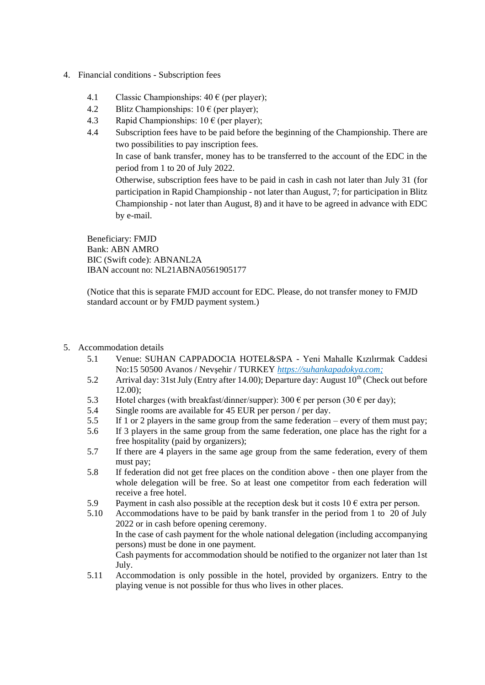- 4. Financial conditions Subscription fees
	- 4.1 Classic Championships:  $40 \text{ } \in$  (per player);
	- 4.2 Blitz Championships:  $10 \in (per player);$
	- 4.3 Rapid Championships:  $10 \text{ } \in$  (per player);
	- 4.4 Subscription fees have to be paid before the beginning of the Championship. There are two possibilities to pay inscription fees. In case of bank transfer, money has to be transferred to the account of the EDC in the period from 1 to 20 of July 2022. Otherwise, subscription fees have to be paid in cash in cash not later than July 31 (for participation in Rapid Championship - not later than August, 7; for participation in Blitz Championship - not later than August, 8) and it have to be agreed in advance with EDC by e-mail. Beneficiary: FMJD

Bank: ABN AMRO BIC (Swift code): ABNANL2A IBAN account no: NL21ABNA0561905177

(Notice that this is separate FMJD account for EDC. Please, do not transfer money to FMJD standard account or by FMJD payment system.)

- 5. Accommodation details
	- 5.1 Venue: SUHAN CAPPADOCIA HOTEL&SPA Yeni Mahalle Kızılırmak Caddesi No:15 50500 Avanos / Nevşehir / TURKEY *[https://suhankapadokya.com;](https://suhankapadokya.com/)*
	- 5.2 Arrival day: 31st July (Entry after 14.00); Departure day: August  $10<sup>th</sup>$  (Check out before 12.00);
	- 5.3 Hotel charges (with breakfast/dinner/supper):  $300 \text{ } \in$  per person (30  $\in$  per day);
	- 5.4 Single rooms are available for 45 EUR per person / per day.
	- 5.5 If 1 or 2 players in the same group from the same federation every of them must pay;
	- 5.6 If 3 players in the same group from the same federation, one place has the right for a free hospitality (paid by organizers);
	- 5.7 If there are 4 players in the same age group from the same federation, every of them must pay;
	- 5.8 If federation did not get free places on the condition above then one player from the whole delegation will be free. So at least one competitor from each federation will receive a free hotel.
	- 5.9 Payment in cash also possible at the reception desk but it costs  $10 \epsilon$  extra per person.
	- 5.10 Accommodations have to be paid by bank transfer in the period from 1 to 20 of July 2022 or in cash before opening ceremony. In the case of cash payment for the whole national delegation (including accompanying persons) must be done in one payment. Cash payments for accommodation should be notified to the organizer not later than 1st July.
	- 5.11 Accommodation is only possible in the hotel, provided by organizers. Entry to the playing venue is not possible for thus who lives in other places.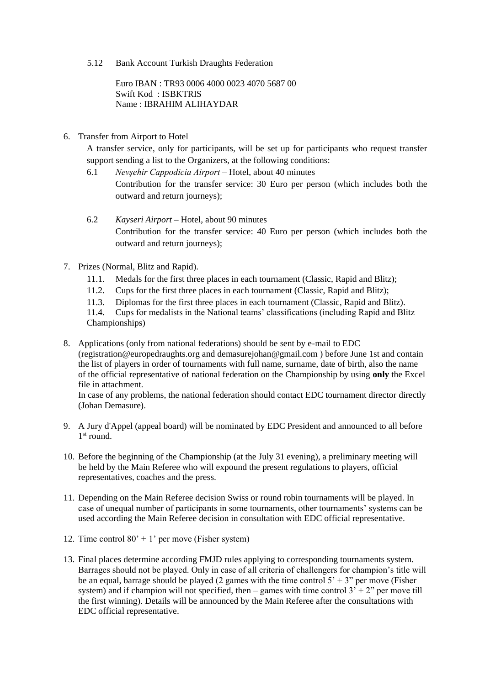5.12 Bank Account Turkish Draughts Federation

Euro IBAN : TR93 0006 4000 0023 4070 5687 00 Swift Kod : ISBKTRIS Name : IBRAHIM ALIHAYDAR

6. Transfer from Airport to Hotel

A transfer service, only for participants, will be set up for participants who request transfer support sending a list to the Organizers, at the following conditions:

- 6.1 *Nevşehir Cappodicia Airport* Hotel, about 40 minutes Contribution for the transfer service: 30 Euro per person (which includes both the outward and return journeys);
- 6.2 *Kayseri Airport* Hotel, about 90 minutes Contribution for the transfer service: 40 Euro per person (which includes both the outward and return journeys);
- 7. Prizes (Normal, Blitz and Rapid).
	- 11.1. Medals for the first three places in each tournament (Classic, Rapid and Blitz);
	- 11.2. Cups for the first three places in each tournament (Classic, Rapid and Blitz);
	- 11.3. Diplomas for the first three places in each tournament (Classic, Rapid and Blitz).

11.4. Cups for medalists in the National teams' classifications (including Rapid and Blitz Championships)

8. Applications (only from national federations) should be sent by e-mail to EDC (registration@europedraughts.org and demasurejohan@gmail.com ) before June 1st and contain the list of players in order of tournaments with full name, surname, date of birth, also the name of the official representative of national federation on the Championship by using **only** the Excel file in attachment.

In case of any problems, the national federation should contact EDC tournament director directly (Johan Demasure).

- 9. A Jury d'Appel (appeal board) will be nominated by EDC President and announced to all before 1<sup>st</sup> round.
- 10. Before the beginning of the Championship (at the July 31 evening), a preliminary meeting will be held by the Main Referee who will expound the present regulations to players, official representatives, coaches and the press.
- 11. Depending on the Main Referee decision Swiss or round robin tournaments will be played. In case of unequal number of participants in some tournaments, other tournaments' systems can be used according the Main Referee decision in consultation with EDC official representative.
- 12. Time control  $80' + 1'$  per move (Fisher system)
- 13. Final places determine according FMJD rules applying to corresponding tournaments system. Barrages should not be played. Only in case of all criteria of challengers for champion's title will be an equal, barrage should be played (2 games with the time control  $5' + 3''$  per move (Fisher system) and if champion will not specified, then – games with time control  $3' + 2''$  per move till the first winning). Details will be announced by the Main Referee after the consultations with EDC official representative.